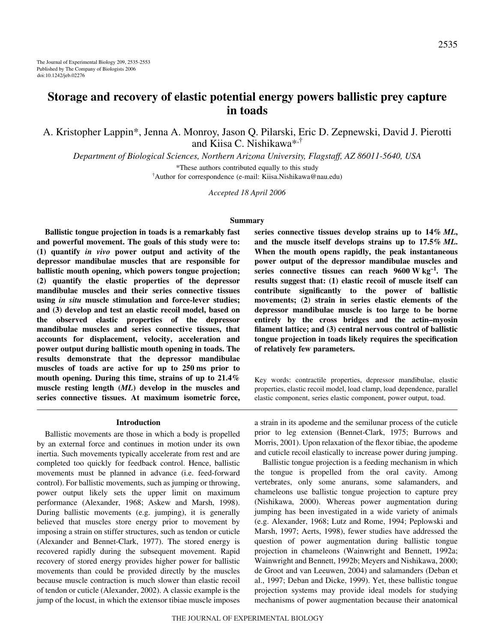# **Storage and recovery of elastic potential energy powers ballistic prey capture in toads**

A. Kristopher Lappin\*, Jenna A. Monroy, Jason Q. Pilarski, Eric D. Zepnewski, David J. Pierotti and Kiisa C. Nishikawa\*,†

*Department of Biological Sciences, Northern Arizona University, Flagstaff, AZ 86011-5640, USA*

\*These authors contributed equally to this study † Author for correspondence (e-mail: Kiisa.Nishikawa@nau.edu)

*Accepted 18 April 2006*

#### **Summary**

**Ballistic tongue projection in toads is a remarkably fast and powerful movement. The goals of this study were to: (1) quantify** *in vivo* **power output and activity of the depressor mandibulae muscles that are responsible for ballistic mouth opening, which powers tongue projection; (2) quantify the elastic properties of the depressor mandibulae muscles and their series connective tissues using** *in situ* **muscle stimulation and force-lever studies; and (3) develop and test an elastic recoil model, based on the observed elastic properties of the depressor mandibulae muscles and series connective tissues, that accounts for displacement, velocity, acceleration and power output during ballistic mouth opening in toads. The results demonstrate that the depressor mandibulae** muscles of toads are active for up to 250 ms prior to **mouth opening. During this time, strains of up to 21.4% muscle resting length (***ML***) develop in the muscles and series connective tissues. At maximum isometric force,**

#### **Introduction**

Ballistic movements are those in which a body is propelled by an external force and continues in motion under its own inertia. Such movements typically accelerate from rest and are completed too quickly for feedback control. Hence, ballistic movements must be planned in advance (i.e. feed-forward control). For ballistic movements, such as jumping or throwing, power output likely sets the upper limit on maximum performance (Alexander, 1968; Askew and Marsh, 1998). During ballistic movements (e.g. jumping), it is generally believed that muscles store energy prior to movement by imposing a strain on stiffer structures, such as tendon or cuticle (Alexander and Bennet-Clark, 1977). The stored energy is recovered rapidly during the subsequent movement. Rapid recovery of stored energy provides higher power for ballistic movements than could be provided directly by the muscles because muscle contraction is much slower than elastic recoil of tendon or cuticle (Alexander, 2002). A classic example is the jump of the locust, in which the extensor tibiae muscle imposes series connective tissues develop strains up to  $14\%$  *ML*, **and the muscle itself develops strains up to 17.5%·***ML***. When the mouth opens rapidly, the peak instantaneous power output of the depressor mandibulae muscles and** series connective tissues can reach 9600 W kg<sup>-1</sup>. The **results suggest that: (1) elastic recoil of muscle itself can contribute significantly to the power of ballistic movements; (2) strain in series elastic elements of the depressor mandibulae muscle is too large to be borne entirely by the cross bridges and the actin–myosin filament lattice; and (3) central nervous control of ballistic tongue projection in toads likely requires the specification of relatively few parameters.**

Key words: contractile properties, depressor mandibulae, elastic properties, elastic recoil model, load clamp, load dependence, parallel elastic component, series elastic component, power output, toad.

a strain in its apodeme and the semilunar process of the cuticle prior to leg extension (Bennet-Clark, 1975; Burrows and Morris, 2001). Upon relaxation of the flexor tibiae, the apodeme and cuticle recoil elastically to increase power during jumping.

Ballistic tongue projection is a feeding mechanism in which the tongue is propelled from the oral cavity. Among vertebrates, only some anurans, some salamanders, and chameleons use ballistic tongue projection to capture prey (Nishikawa, 2000). Whereas power augmentation during jumping has been investigated in a wide variety of animals (e.g. Alexander, 1968; Lutz and Rome, 1994; Peplowski and Marsh, 1997; Aerts, 1998), fewer studies have addressed the question of power augmentation during ballistic tongue projection in chameleons (Wainwright and Bennett, 1992a; Wainwright and Bennett, 1992b; Meyers and Nishikawa, 2000; de Groot and van Leeuwen, 2004) and salamanders (Deban et al., 1997; Deban and Dicke, 1999). Yet, these ballistic tongue projection systems may provide ideal models for studying mechanisms of power augmentation because their anatomical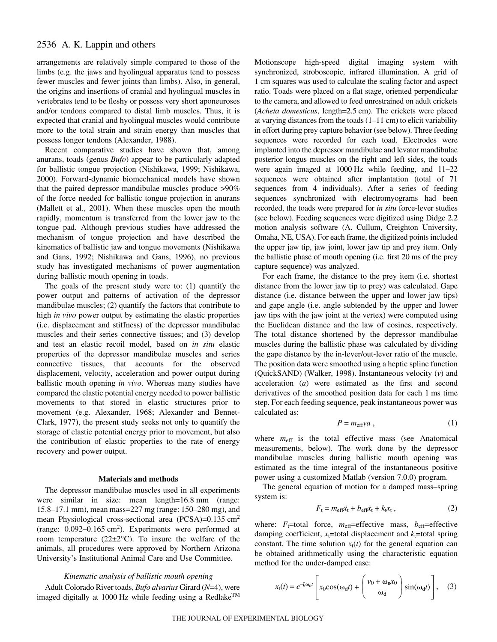arrangements are relatively simple compared to those of the limbs (e.g. the jaws and hyolingual apparatus tend to possess fewer muscles and fewer joints than limbs). Also, in general, the origins and insertions of cranial and hyolingual muscles in vertebrates tend to be fleshy or possess very short aponeuroses and/or tendons compared to distal limb muscles. Thus, it is expected that cranial and hyolingual muscles would contribute more to the total strain and strain energy than muscles that possess longer tendons (Alexander, 1988).

Recent comparative studies have shown that, among anurans, toads (genus *Bufo*) appear to be particularly adapted for ballistic tongue projection (Nishikawa, 1999; Nishikawa, 2000). Forward-dynamic biomechanical models have shown that the paired depressor mandibulae muscles produce >90% of the force needed for ballistic tongue projection in anurans (Mallett et al., 2001). When these muscles open the mouth rapidly, momentum is transferred from the lower jaw to the tongue pad. Although previous studies have addressed the mechanism of tongue projection and have described the kinematics of ballistic jaw and tongue movements (Nishikawa and Gans, 1992; Nishikawa and Gans, 1996), no previous study has investigated mechanisms of power augmentation during ballistic mouth opening in toads.

The goals of the present study were to: (1) quantify the power output and patterns of activation of the depressor mandibulae muscles; (2) quantify the factors that contribute to high *in vivo* power output by estimating the elastic properties (i.e. displacement and stiffness) of the depressor mandibulae muscles and their series connective tissues; and (3) develop and test an elastic recoil model, based on *in situ* elastic properties of the depressor mandibulae muscles and series connective tissues, that accounts for the observed displacement, velocity, acceleration and power output during ballistic mouth opening *in vivo*. Whereas many studies have compared the elastic potential energy needed to power ballistic movements to that stored in elastic structures prior to movement (e.g. Alexander, 1968; Alexander and Bennet-Clark, 1977), the present study seeks not only to quantify the storage of elastic potential energy prior to movement, but also the contribution of elastic properties to the rate of energy recovery and power output.

#### **Materials and methods**

The depressor mandibulae muscles used in all experiments were similar in size: mean length=16.8 mm (range: 15.8–17.1 mm), mean mass=227 mg (range: 150–280 mg), and mean Physiological cross-sectional area (PCSA)= $0.135 \text{ cm}^2$ (range:  $0.092 - 0.165$  cm<sup>2</sup>). Experiments were performed at room temperature  $(22\pm2^{\circ}\text{C})$ . To insure the welfare of the animals, all procedures were approved by Northern Arizona University's Institutional Animal Care and Use Committee.

### *Kinematic analysis of ballistic mouth opening*

Adult Colorado River toads, *Bufo alvarius* Girard (*N*=4), were imaged digitally at 1000 Hz while feeding using a Redlake<sup>TM</sup> Motionscope high-speed digital imaging system with synchronized, stroboscopic, infrared illumination. A grid of 1 cm squares was used to calculate the scaling factor and aspect ratio. Toads were placed on a flat stage, oriented perpendicular to the camera, and allowed to feed unrestrained on adult crickets (*Acheta domesticus*, length=2.5 cm). The crickets were placed at varying distances from the toads  $(1-11 \text{ cm})$  to elicit variability in effort during prey capture behavior (see below). Three feeding sequences were recorded for each toad. Electrodes were implanted into the depressor mandibulae and levator mandibulae posterior longus muscles on the right and left sides, the toads were again imaged at  $1000 \text{ Hz}$  while feeding, and  $11-22$ sequences were obtained after implantation (total of 71 sequences from 4 individuals). After a series of feeding sequences synchronized with electromyograms had been recorded, the toads were prepared for *in situ* force-lever studies (see below). Feeding sequences were digitized using Didge 2.2 motion analysis software (A. Cullum, Creighton University, Omaha, NE, USA). For each frame, the digitized points included the upper jaw tip, jaw joint, lower jaw tip and prey item. Only the ballistic phase of mouth opening (i.e. first 20 ms of the prey capture sequence) was analyzed.

For each frame, the distance to the prey item (i.e. shortest distance from the lower jaw tip to prey) was calculated. Gape distance (i.e. distance between the upper and lower jaw tips) and gape angle (i.e. angle subtended by the upper and lower jaw tips with the jaw joint at the vertex) were computed using the Euclidean distance and the law of cosines, respectively. The total distance shortened by the depressor mandibulae muscles during the ballistic phase was calculated by dividing the gape distance by the in-lever/out-lever ratio of the muscle. The position data were smoothed using a heptic spline function (QuickSAND) (Walker, 1998). Instantaneous velocity (*v*) and acceleration (*a*) were estimated as the first and second derivatives of the smoothed position data for each 1 ms time step. For each feeding sequence, peak instantaneous power was calculated as:

$$
P = m_{\text{eff}} \nu a \,, \tag{1}
$$

where  $m_{\text{eff}}$  is the total effective mass (see Anatomical measurements, below). The work done by the depressor mandibulae muscles during ballistic mouth opening was estimated as the time integral of the instantaneous positive power using a customized Matlab (version 7.0.0) program.

The general equation of motion for a damped mass–spring system is:

$$
F_{t} = m_{\text{eff}}\ddot{x}_{t} + b_{\text{eff}}\dot{x}_{t} + k_{t}x_{t}, \qquad (2)
$$

where:  $F_t$ =total force,  $m_{\text{eff}}$ =effective mass,  $b_{\text{eff}}$ =effective damping coefficient,  $x_t$ =total displacement and  $k_t$ =total spring constant. The time solution  $x_t(t)$  for the general equation can be obtained arithmetically using the characteristic equation method for the under-damped case:

$$
x_{\rm t}(t) = e^{-\zeta \omega_{\rm n}t} \left[ x_{0} \cos(\omega_{\rm d}t) + \left( \frac{v_{0} + \omega_{\rm n}x_{0}}{\omega_{\rm d}} \right) \sin(\omega_{\rm d}t) \right], \quad (3)
$$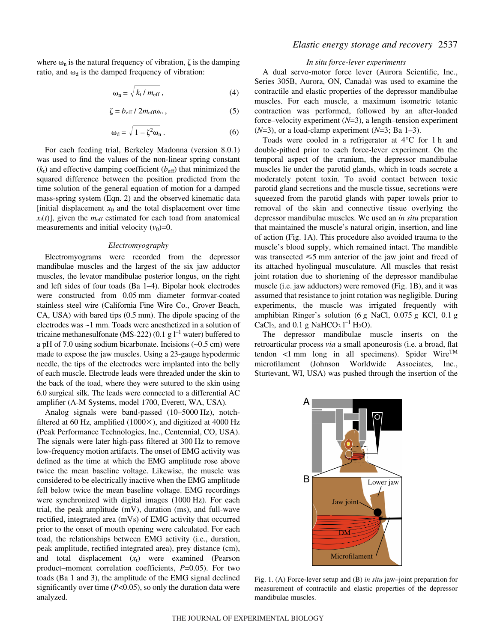where  $\omega_n$  is the natural frequency of vibration,  $\zeta$  is the damping ratio, and  $\omega_d$  is the damped frequency of vibration:

$$
\omega_{\rm n} = \sqrt{k_{\rm t}/m_{\rm eff}}\,,\tag{4}
$$

$$
\zeta = b_{\rm eff} / 2m_{\rm eff} \omega_{\rm n} \,, \tag{5}
$$

$$
\omega_{d} = \sqrt{1 - \zeta^{2} \omega_{n}} \,. \tag{6}
$$

For each feeding trial, Berkeley Madonna (version 8.0.1) was used to find the values of the non-linear spring constant  $(k<sub>t</sub>)$  and effective damping coefficient  $(b<sub>eff</sub>)$  that minimized the squared difference between the position predicted from the time solution of the general equation of motion for a damped mass-spring system (Eqn. 2) and the observed kinematic data [initial displacement  $x_0$  and the total displacement over time  $x_t(t)$ ], given the  $m_{\text{eff}}$  estimated for each toad from anatomical measurements and initial velocity  $(v_0)=0$ .

#### *Electromyography*

Electromyograms were recorded from the depressor mandibulae muscles and the largest of the six jaw adductor muscles, the levator mandibulae posterior longus, on the right and left sides of four toads (Ba 1–4). Bipolar hook electrodes were constructed from 0.05 mm diameter formvar-coated stainless steel wire (California Fine Wire Co., Grover Beach, CA, USA) with bared tips (0.5 mm). The dipole spacing of the electrodes was ~1 mm. Toads were anesthetized in a solution of tricaine methanesulfonate (MS-222) (0.1 g  $l^{-1}$  water) buffered to a pH of 7.0 using sodium bicarbonate. Incisions  $(-0.5 \text{ cm})$  were made to expose the jaw muscles. Using a 23-gauge hypodermic needle, the tips of the electrodes were implanted into the belly of each muscle. Electrode leads were threaded under the skin to the back of the toad, where they were sutured to the skin using 6.0 surgical silk. The leads were connected to a differential AC amplifier (A-M Systems, model 1700, Everett, WA, USA).

Analog signals were band-passed  $(10–5000~\text{Hz})$ , notchfiltered at 60 Hz, amplified (1000 $\times$ ), and digitized at 4000 Hz (Peak Performance Technologies, Inc., Centennial, CO, USA). The signals were later high-pass filtered at 300 Hz to remove low-frequency motion artifacts. The onset of EMG activity was defined as the time at which the EMG amplitude rose above twice the mean baseline voltage. Likewise, the muscle was considered to be electrically inactive when the EMG amplitude fell below twice the mean baseline voltage. EMG recordings were synchronized with digital images (1000 Hz). For each trial, the peak amplitude (mV), duration (ms), and full-wave rectified, integrated area (mVs) of EMG activity that occurred prior to the onset of mouth opening were calculated. For each toad, the relationships between EMG activity (i.e., duration, peak amplitude, rectified integrated area), prey distance (cm), and total displacement  $(x_t)$  were examined (Pearson product–moment correlation coefficients, *P*=0.05). For two toads (Ba 1 and 3), the amplitude of the EMG signal declined significantly over time (*P*<0.05), so only the duration data were analyzed.

# *Elastic energy storage and recovery* 2537

### *In situ force-lever experiments*

A dual servo-motor force lever (Aurora Scientific, Inc., Series 305B, Aurora, ON, Canada) was used to examine the contractile and elastic properties of the depressor mandibulae muscles. For each muscle, a maximum isometric tetanic contraction was performed, followed by an after-loaded force–velocity experiment (*N*=3), a length–tension experiment (*N*=3), or a load-clamp experiment (*N*=3; Ba 1–3).

Toads were cooled in a refrigerator at  $4^{\circ}$ C for 1 h and double-pithed prior to each force-lever experiment. On the temporal aspect of the cranium, the depressor mandibulae muscles lie under the parotid glands, which in toads secrete a moderately potent toxin. To avoid contact between toxic parotid gland secretions and the muscle tissue, secretions were squeezed from the parotid glands with paper towels prior to removal of the skin and connective tissue overlying the depressor mandibulae muscles. We used an *in situ* preparation that maintained the muscle's natural origin, insertion, and line of action (Fig. 1A). This procedure also avoided trauma to the muscle's blood supply, which remained intact. The mandible was transected  $\leq 5$  mm anterior of the jaw joint and freed of its attached hyolingual musculature. All muscles that resist joint rotation due to shortening of the depressor mandibulae muscle (i.e. jaw adductors) were removed (Fig. 1B), and it was assumed that resistance to joint rotation was negligible. During experiments, the muscle was irrigated frequently with amphibian Ringer's solution (6 g NaCl, 0.075 g KCl, 0.1 g CaCl<sub>2</sub>, and 0.1 g NaHCO<sub>3</sub>  $l^{-1}$  H<sub>2</sub>O).

The depressor mandibulae muscle inserts on the retroarticular process *via* a small aponeurosis (i.e. a broad, flat tendon <1 mm long in all specimens). Spider Wire<sup>TM</sup> microfilament (Johnson Worldwide Associates, Inc., Sturtevant, WI, USA) was pushed through the insertion of the



Fig. 1. (A) Force-lever setup and (B) *in situ* jaw–joint preparation for measurement of contractile and elastic properties of the depressor mandibulae muscles.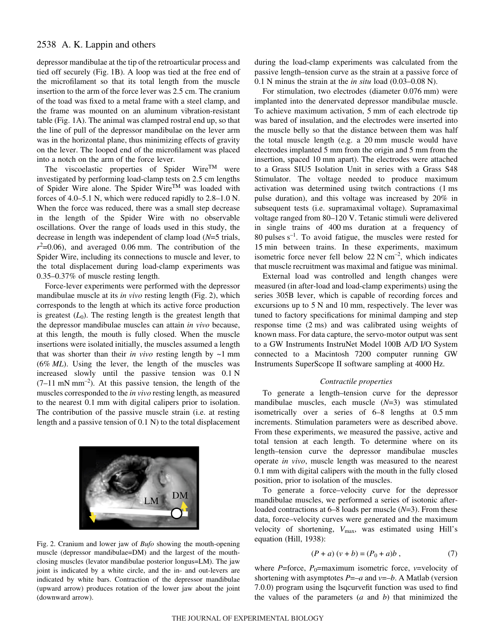depressor mandibulae at the tip of the retroarticular process and tied off securely (Fig. 1B). A loop was tied at the free end of the microfilament so that its total length from the muscle insertion to the arm of the force lever was 2.5 cm. The cranium of the toad was fixed to a metal frame with a steel clamp, and the frame was mounted on an aluminum vibration-resistant table (Fig. 1A). The animal was clamped rostral end up, so that the line of pull of the depressor mandibulae on the lever arm was in the horizontal plane, thus minimizing effects of gravity on the lever. The looped end of the microfilament was placed into a notch on the arm of the force lever.

The viscoelastic properties of Spider Wire<sup>TM</sup> were investigated by performing load-clamp tests on 2.5 cm lengths of Spider Wire alone. The Spider WireTM was loaded with forces of 4.0–5.1 N, which were reduced rapidly to  $2.8-1.0$  N. When the force was reduced, there was a small step decrease in the length of the Spider Wire with no observable oscillations. Over the range of loads used in this study, the decrease in length was independent of clamp load (*N*=5 trials,  $r^2$ =0.06), and averaged 0.06 mm. The contribution of the Spider Wire, including its connections to muscle and lever, to the total displacement during load-clamp experiments was 0.35–0.37% of muscle resting length.

Force-lever experiments were performed with the depressor mandibulae muscle at its *in vivo* resting length (Fig. 2), which corresponds to the length at which its active force production is greatest  $(L<sub>0</sub>)$ . The resting length is the greatest length that the depressor mandibulae muscles can attain *in vivo* because, at this length, the mouth is fully closed. When the muscle insertions were isolated initially, the muscles assumed a length that was shorter than their *in vivo* resting length by  $\sim$ 1 mm (6%·*ML*). Using the lever, the length of the muscles was increased slowly until the passive tension was  $0.1 \text{ N}$  $(7-11 \text{ mN mm}^{-2})$ . At this passive tension, the length of the muscles corresponded to the *in vivo* resting length, as measured to the nearest 0.1 mm with digital calipers prior to isolation. The contribution of the passive muscle strain (i.e. at resting length and a passive tension of  $0.1 \text{ N}$ ) to the total displacement



Fig. 2. Cranium and lower jaw of *Bufo* showing the mouth-opening muscle (depressor mandibulae=DM) and the largest of the mouthclosing muscles (levator mandibulae posterior longus=LM). The jaw joint is indicated by a white circle, and the in- and out-levers are indicated by white bars. Contraction of the depressor mandibulae (upward arrow) produces rotation of the lower jaw about the joint (downward arrow).

during the load-clamp experiments was calculated from the passive length–tension curve as the strain at a passive force of  $0.1$  N minus the strain at the *in situ* load (0.03–0.08 N).

For stimulation, two electrodes (diameter 0.076 mm) were implanted into the denervated depressor mandibulae muscle. To achieve maximum activation, 5 mm of each electrode tip was bared of insulation, and the electrodes were inserted into the muscle belly so that the distance between them was half the total muscle length (e.g. a 20 mm muscle would have electrodes implanted 5 mm from the origin and 5 mm from the insertion, spaced 10 mm apart). The electrodes were attached to a Grass SIU5 Isolation Unit in series with a Grass S48 Stimulator. The voltage needed to produce maximum activation was determined using twitch contractions (1 ms pulse duration), and this voltage was increased by 20% in subsequent tests (i.e. supramaximal voltage). Supramaximal voltage ranged from 80-120 V. Tetanic stimuli were delivered in single trains of 400 ms duration at a frequency of 80 pulses  $s^{-1}$ . To avoid fatigue, the muscles were rested for 15 min between trains. In these experiments, maximum isometric force never fell below 22  $N \text{ cm}^{-2}$ , which indicates that muscle recruitment was maximal and fatigue was minimal.

External load was controlled and length changes were measured (in after-load and load-clamp experiments) using the series 305B lever, which is capable of recording forces and excursions up to  $5 N$  and 10 mm, respectively. The lever was tuned to factory specifications for minimal damping and step response time (2 ms) and was calibrated using weights of known mass. For data capture, the servo-motor output was sent to a GW Instruments InstruNet Model 100B A/D I/O System connected to a Macintosh 7200 computer running GW Instruments SuperScope II software sampling at 4000 Hz.

#### *Contractile properties*

To generate a length–tension curve for the depressor mandibulae muscles, each muscle (*N*=3) was stimulated isometrically over a series of  $6-8$  lengths at  $0.5$  mm increments. Stimulation parameters were as described above. From these experiments, we measured the passive, active and total tension at each length. To determine where on its length–tension curve the depressor mandibulae muscles operate *in vivo*, muscle length was measured to the nearest 0.1 mm with digital calipers with the mouth in the fully closed position, prior to isolation of the muscles.

To generate a force–velocity curve for the depressor mandibulae muscles, we performed a series of isotonic afterloaded contractions at 6–8 loads per muscle (*N*=3). From these data, force–velocity curves were generated and the maximum velocity of shortening,  $V_{\text{max}}$ , was estimated using Hill's equation (Hill, 1938):

$$
(P + a) (v + b) = (P0 + a)b , \t(7)
$$

where  $P=$  force,  $P_0=$  maximum isometric force,  $v=$  velocity of shortening with asymptotes  $P = -a$  and  $v = -b$ . A Matlab (version 7.0.0) program using the lsqcurvefit function was used to find the values of the parameters (*a* and *b*) that minimized the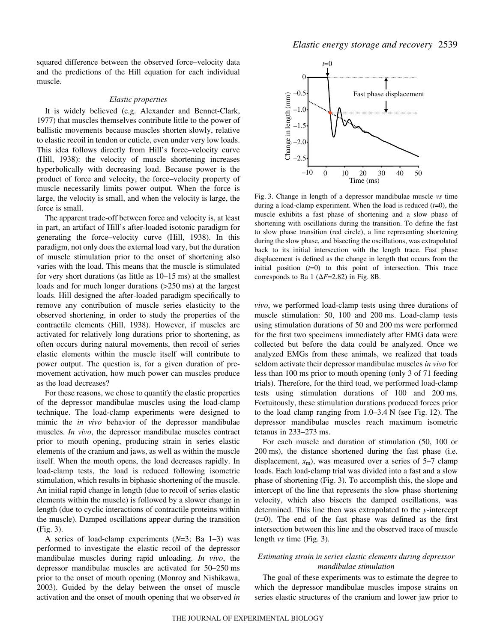squared difference between the observed force–velocity data and the predictions of the Hill equation for each individual muscle.

#### *Elastic properties*

It is widely believed (e.g. Alexander and Bennet-Clark, 1977) that muscles themselves contribute little to the power of ballistic movements because muscles shorten slowly, relative to elastic recoil in tendon or cuticle, even under very low loads. This idea follows directly from Hill's force–velocity curve (Hill, 1938): the velocity of muscle shortening increases hyperbolically with decreasing load. Because power is the product of force and velocity, the force–velocity property of muscle necessarily limits power output. When the force is large, the velocity is small, and when the velocity is large, the force is small.

The apparent trade-off between force and velocity is, at least in part, an artifact of Hill's after-loaded isotonic paradigm for generating the force–velocity curve (Hill, 1938). In this paradigm, not only does the external load vary, but the duration of muscle stimulation prior to the onset of shortening also varies with the load. This means that the muscle is stimulated for very short durations (as little as  $10-15$  ms) at the smallest loads and for much longer durations ( $>250$  ms) at the largest loads. Hill designed the after-loaded paradigm specifically to remove any contribution of muscle series elasticity to the observed shortening, in order to study the properties of the contractile elements (Hill, 1938). However, if muscles are activated for relatively long durations prior to shortening, as often occurs during natural movements, then recoil of series elastic elements within the muscle itself will contribute to power output. The question is, for a given duration of premovement activation, how much power can muscles produce as the load decreases?

For these reasons, we chose to quantify the elastic properties of the depressor mandibulae muscles using the load-clamp technique. The load-clamp experiments were designed to mimic the *in vivo* behavior of the depressor mandibulae muscles. *In vivo*, the depressor mandibulae muscles contract prior to mouth opening, producing strain in series elastic elements of the cranium and jaws, as well as within the muscle itself. When the mouth opens, the load decreases rapidly. In load-clamp tests, the load is reduced following isometric stimulation, which results in biphasic shortening of the muscle. An initial rapid change in length (due to recoil of series elastic elements within the muscle) is followed by a slower change in length (due to cyclic interactions of contractile proteins within the muscle). Damped oscillations appear during the transition  $(Fig. 3)$ .

A series of load-clamp experiments (*N*=3; Ba 1–3) was performed to investigate the elastic recoil of the depressor mandibulae muscles during rapid unloading. *In vivo*, the depressor mandibulae muscles are activated for 50–250 ms prior to the onset of mouth opening (Monroy and Nishikawa, 2003). Guided by the delay between the onset of muscle activation and the onset of mouth opening that we observed *in*



Fig. 3. Change in length of a depressor mandibulae muscle *vs* time during a load-clamp experiment. When the load is reduced (*t*=0), the muscle exhibits a fast phase of shortening and a slow phase of shortening with oscillations during the transition. To define the fast to slow phase transition (red circle), a line representing shortening during the slow phase, and bisecting the oscillations, was extrapolated back to its initial intersection with the length trace. Fast phase displacement is defined as the change in length that occurs from the initial position  $(t=0)$  to this point of intersection. This trace corresponds to Ba 1 ( $\Delta F$ =2.82) in Fig. 8B.

*vivo*, we performed load-clamp tests using three durations of muscle stimulation: 50, 100 and 200 ms. Load-clamp tests using stimulation durations of 50 and 200 ms were performed for the first two specimens immediately after EMG data were collected but before the data could be analyzed. Once we analyzed EMGs from these animals, we realized that toads seldom activate their depressor mandibulae muscles *in vivo* for less than 100 ms prior to mouth opening (only 3 of 71 feeding trials). Therefore, for the third toad, we performed load-clamp tests using stimulation durations of 100 and 200 ms. Fortuitously, these stimulation durations produced forces prior to the load clamp ranging from  $1.0-3.4$  N (see Fig. 12). The depressor mandibulae muscles reach maximum isometric tetanus in  $233-273$  ms.

For each muscle and duration of stimulation (50, 100 or 200 ms), the distance shortened during the fast phase (i.e. displacement,  $x_m$ ), was measured over a series of  $5-7$  clamp loads. Each load-clamp trial was divided into a fast and a slow phase of shortening (Fig. 3). To accomplish this, the slope and intercept of the line that represents the slow phase shortening velocity, which also bisects the damped oscillations, was determined. This line then was extrapolated to the *y*-intercept  $(t=0)$ . The end of the fast phase was defined as the first intersection between this line and the observed trace of muscle length *vs* time (Fig. 3).

### *Estimating strain in series elastic elements during depressor mandibulae stimulation*

The goal of these experiments was to estimate the degree to which the depressor mandibulae muscles impose strains on series elastic structures of the cranium and lower jaw prior to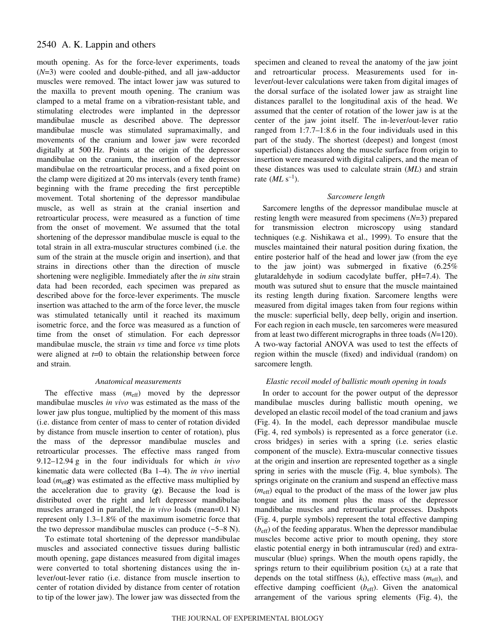mouth opening. As for the force-lever experiments, toads (*N*=3) were cooled and double-pithed, and all jaw-adductor muscles were removed. The intact lower jaw was sutured to the maxilla to prevent mouth opening. The cranium was clamped to a metal frame on a vibration-resistant table, and stimulating electrodes were implanted in the depressor mandibulae muscle as described above. The depressor mandibulae muscle was stimulated supramaximally, and movements of the cranium and lower jaw were recorded digitally at 500 Hz. Points at the origin of the depressor mandibulae on the cranium, the insertion of the depressor mandibulae on the retroarticular process, and a fixed point on the clamp were digitized at 20 ms intervals (every tenth frame) beginning with the frame preceding the first perceptible movement. Total shortening of the depressor mandibulae muscle, as well as strain at the cranial insertion and retroarticular process, were measured as a function of time from the onset of movement. We assumed that the total shortening of the depressor mandibulae muscle is equal to the total strain in all extra-muscular structures combined (i.e. the sum of the strain at the muscle origin and insertion), and that strains in directions other than the direction of muscle shortening were negligible. Immediately after the *in situ* strain data had been recorded, each specimen was prepared as described above for the force-lever experiments. The muscle insertion was attached to the arm of the force lever, the muscle was stimulated tetanically until it reached its maximum isometric force, and the force was measured as a function of time from the onset of stimulation. For each depressor mandibulae muscle, the strain *vs* time and force *vs* time plots were aligned at *t*=0 to obtain the relationship between force and strain.

#### *Anatomical measurements*

The effective mass ( $m_{\text{eff}}$ ) moved by the depressor mandibulae muscles *in vivo* was estimated as the mass of the lower jaw plus tongue, multiplied by the moment of this mass (i.e. distance from center of mass to center of rotation divided by distance from muscle insertion to center of rotation), plus the mass of the depressor mandibulae muscles and retroarticular processes. The effective mass ranged from 9.12–12.94 g in the four individuals for which *in vivo* kinematic data were collected (Ba 1–4). The *in vivo* inertial load  $(m_{\text{eff}}g)$  was estimated as the effective mass multiplied by the acceleration due to gravity (*g*). Because the load is distributed over the right and left depressor mandibulae muscles arranged in parallel, the *in vivo* loads (mean=0.1 N) represent only 1.3–1.8% of the maximum isometric force that the two depressor mandibulae muscles can produce  $(-5-8 \text{ N})$ .

To estimate total shortening of the depressor mandibulae muscles and associated connective tissues during ballistic mouth opening, gape distances measured from digital images were converted to total shortening distances using the inlever/out-lever ratio (i.e. distance from muscle insertion to center of rotation divided by distance from center of rotation to tip of the lower jaw). The lower jaw was dissected from the

specimen and cleaned to reveal the anatomy of the jaw joint and retroarticular process. Measurements used for inlever/out-lever calculations were taken from digital images of the dorsal surface of the isolated lower jaw as straight line distances parallel to the longitudinal axis of the head. We assumed that the center of rotation of the lower jaw is at the center of the jaw joint itself. The in-lever/out-lever ratio ranged from 1:7.7–1:8.6 in the four individuals used in this part of the study. The shortest (deepest) and longest (most superficial) distances along the muscle surface from origin to insertion were measured with digital calipers, and the mean of these distances was used to calculate strain (*ML*) and strain rate  $(MLs^{-1})$ .

#### *Sarcomere length*

Sarcomere lengths of the depressor mandibulae muscle at resting length were measured from specimens (*N*=3) prepared for transmission electron microscopy using standard techniques (e.g. Nishikawa et al., 1999). To ensure that the muscles maintained their natural position during fixation, the entire posterior half of the head and lower jaw (from the eye to the jaw joint) was submerged in fixative (6.25% glutaraldehyde in sodium cacodylate buffer, pH=7.4). The mouth was sutured shut to ensure that the muscle maintained its resting length during fixation. Sarcomere lengths were measured from digital images taken from four regions within the muscle: superficial belly, deep belly, origin and insertion. For each region in each muscle, ten sarcomeres were measured from at least two different micrographs in three toads (*N*=120). A two-way factorial ANOVA was used to test the effects of region within the muscle (fixed) and individual (random) on sarcomere length.

#### *Elastic recoil model of ballistic mouth opening in toads*

In order to account for the power output of the depressor mandibulae muscles during ballistic mouth opening, we developed an elastic recoil model of the toad cranium and jaws (Fig. 4). In the model, each depressor mandibulae muscle (Fig. 4, red symbols) is represented as a force generator (i.e. cross bridges) in series with a spring (i.e. series elastic component of the muscle). Extra-muscular connective tissues at the origin and insertion are represented together as a single spring in series with the muscle (Fig. 4, blue symbols). The springs originate on the cranium and suspend an effective mass (*m*eff) equal to the product of the mass of the lower jaw plus tongue and its moment plus the mass of the depressor mandibulae muscles and retroarticular processes. Dashpots (Fig. 4, purple symbols) represent the total effective damping (*b*eff) of the feeding apparatus. When the depressor mandibulae muscles become active prior to mouth opening, they store elastic potential energy in both intramuscular (red) and extramuscular (blue) springs. When the mouth opens rapidly, the springs return to their equilibrium position  $(x_t)$  at a rate that depends on the total stiffness  $(k_t)$ , effective mass  $(m_{\text{eff}})$ , and effective damping coefficient (*b*<sub>eff</sub>). Given the anatomical arrangement of the various spring elements (Fig. 4), the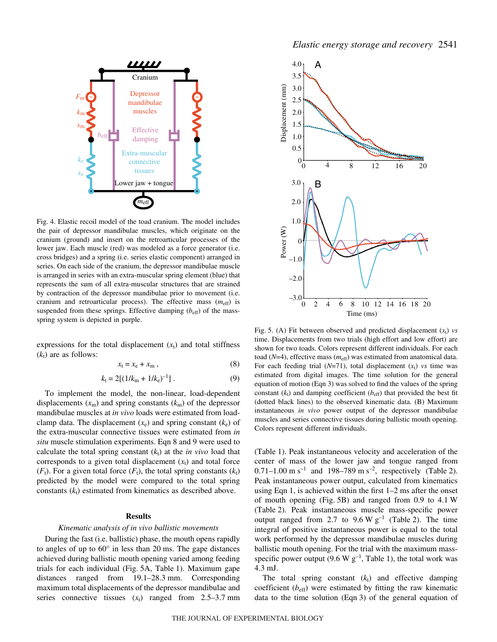

Fig. 4. Elastic recoil model of the toad cranium. The model includes the pair of depressor mandibulae muscles, which originate on the cranium (ground) and insert on the retroarticular processes of the lower jaw. Each muscle (red) was modeled as a force generator (i.e. cross bridges) and a spring (i.e. series elastic component) arranged in series. On each side of the cranium, the depressor mandibulae muscle is arranged in series with an extra-muscular spring element (blue) that represents the sum of all extra-muscular structures that are strained by contraction of the depressor mandibulae prior to movement (i.e. cranium and retroarticular process). The effective mass  $(m_{\text{eff}})$  is suspended from these springs. Effective damping  $(b_{\text{eff}})$  of the massspring system is depicted in purple.

expressions for the total displacement  $(x_t)$  and total stiffness  $(k_t)$  are as follows:

$$
x_{t} = x_{e} + x_{m} , \qquad (8)
$$

$$
k_{\rm t} = 2[(1/k_{\rm m} + 1/k_{\rm e})^{-1}].\tag{9}
$$

To implement the model, the non-linear, load-dependent displacements  $(x_m)$  and spring constants  $(k_m)$  of the depressor mandibulae muscles at *in vivo* loads were estimated from loadclamp data. The displacement  $(x_e)$  and spring constant  $(k_e)$  of the extra-muscular connective tissues were estimated from *in situ* muscle stimulation experiments. Eqn 8 and 9 were used to calculate the total spring constant  $(k_t)$  at the *in vivo* load that corresponds to a given total displacement  $(x_t)$  and total force  $(F_t)$ . For a given total force  $(F_t)$ , the total spring constants  $(k_t)$ predicted by the model were compared to the total spring constants  $(k_t)$  estimated from kinematics as described above.

### **Results**

#### *Kinematic analysis of in vivo ballistic movements*

During the fast (i.e. ballistic) phase, the mouth opens rapidly to angles of up to  $60^\circ$  in less than 20 ms. The gape distances achieved during ballistic mouth opening varied among feeding trials for each individual (Fig. 5A, Table 1). Maximum gape distances ranged from 19.1–28.3 mm. Corresponding maximum total displacements of the depressor mandibulae and series connective tissues  $(x_t)$  ranged from 2.5–3.7 mm



Fig. 5. (A) Fit between observed and predicted displacement  $(x_t)$  *vs* time. Displacements from two trials (high effort and low effort) are shown for two toads. Colors represent different individuals. For each toad (*N*=4), effective mass (*m*eff) was estimated from anatomical data. For each feeding trial  $(N=71)$ , total displacement  $(x_t)$  *vs* time was estimated from digital images. The time solution for the general equation of motion (Eqn·3) was solved to find the values of the spring constant  $(k_t)$  and damping coefficient  $(b_{\text{eff}})$  that provided the best fit (dotted black lines) to the observed kinematic data. (B) Maximum instantaneous *in vivo* power output of the depressor mandibulae muscles and series connective tissues during ballistic mouth opening. Colors represent different individuals.

(Table 1). Peak instantaneous velocity and acceleration of the center of mass of the lower jaw and tongue ranged from 0.71–1.00 m s<sup>-1</sup> and 198–789 m s<sup>-2</sup>, respectively (Table 2). Peak instantaneous power output, calculated from kinematics using Eqn 1, is achieved within the first  $1-2$  ms after the onset of mouth opening (Fig. 5B) and ranged from  $0.9$  to  $4.1$  W (Table 2). Peak instantaneous muscle mass-specific power output ranged from 2.7 to  $9.6 \text{ W g}^{-1}$  (Table 2). The time integral of positive instantaneous power is equal to the total work performed by the depressor mandibulae muscles during ballistic mouth opening. For the trial with the maximum massspecific power output (9.6 W  $g^{-1}$ , Table 1), the total work was 4.3·mJ.

The total spring constant  $(k<sub>t</sub>)$  and effective damping coefficient  $(b_{\text{eff}})$  were estimated by fitting the raw kinematic data to the time solution (Eqn 3) of the general equation of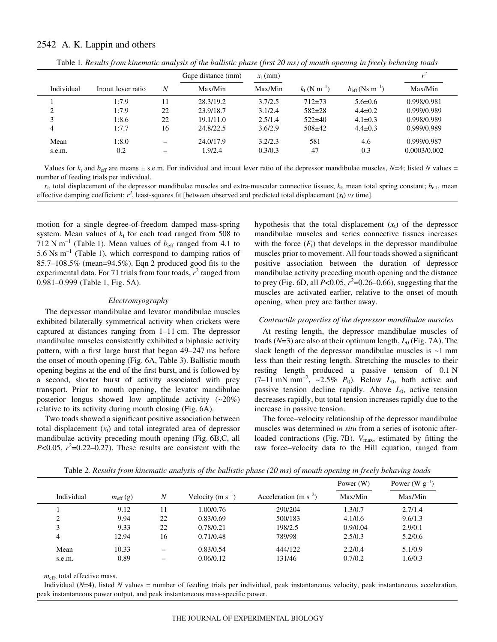|            |                     |    | Gape distance (mm) | $x_t$ (mm) |                                  |                                     |              |
|------------|---------------------|----|--------------------|------------|----------------------------------|-------------------------------------|--------------|
| Individual | In: out lever ratio | N  | Max/Min            | Max/Min    | $k_{\rm t}$ (N m <sup>-1</sup> ) | $b_{\rm eff}$ (Ns m <sup>-1</sup> ) | Max/Min      |
|            | 1:7.9               |    | 28.3/19.2          | 3.7/2.5    | $712+73$                         | $5.6 \pm 0.6$                       | 0.998/0.981  |
| ◠          | 1:7.9               | 22 | 23.9/18.7          | 3.1/2.4    | $582+28$                         | $4.4 \pm 0.2$                       | 0.999/0.989  |
| 3          | 1:8.6               | 22 | 19.1/11.0          | 2.5/1.4    | $522+40$                         | $4.1 \pm 0.3$                       | 0.998/0.989  |
| 4          | 1:7.7               | 16 | 24.8/22.5          | 3.6/2.9    | $508+42$                         | $4.4 \pm 0.3$                       | 0.999/0.989  |
| Mean       | 1:8.0               |    | 24.0/17.9          | 3.2/2.3    | 581                              | 4.6                                 | 0.999/0.987  |
| s.e.m.     | 0.2                 |    | 1.9/2.4            | 0.3/0.3    | 47                               | 0.3                                 | 0.0003/0.002 |

Table 1*. Results from kinematic analysis of the ballistic phase (first 20 ms) of mouth opening in freely behaving toads* 

Values for  $k_t$  and  $b_{\text{eff}}$  are means  $\pm$  s.e.m. For individual and in:out lever ratio of the depressor mandibulae muscles,  $N=4$ ; listed *N* values = number of feeding trials per individual.

 $x_t$ , total displacement of the depressor mandibulae muscles and extra-muscular connective tissues;  $k_t$ , mean total spring constant;  $b_{\text{eff}}$ , mean effective damping coefficient;  $r^2$ , least-squares fit [between observed and predicted total displacement  $(x_t)$  *vs* time].

motion for a single degree-of-freedom damped mass-spring system. Mean values of  $k_t$  for each toad ranged from 508 to  $712$  N m<sup>-1</sup> (Table 1). Mean values of  $b_{\text{eff}}$  ranged from 4.1 to 5.6 Ns  $m^{-1}$  (Table 1), which correspond to damping ratios of 85.7–108.5% (mean=94.5%). Eqn·2 produced good fits to the experimental data. For 71 trials from four toads,  $r^2$  ranged from 0.981-0.999 (Table 1, Fig. 5A).

#### *Electromyography*

The depressor mandibulae and levator mandibulae muscles exhibited bilaterally symmetrical activity when crickets were captured at distances ranging from  $1-11$  cm. The depressor mandibulae muscles consistently exhibited a biphasic activity pattern, with a first large burst that began 49–247 ms before the onset of mouth opening (Fig. 6A, Table 3). Ballistic mouth opening begins at the end of the first burst, and is followed by a second, shorter burst of activity associated with prey transport. Prior to mouth opening, the levator mandibulae posterior longus showed low amplitude activity  $(-20\%)$ relative to its activity during mouth closing (Fig. 6A).

Two toads showed a significant positive association between total displacement  $(x_t)$  and total integrated area of depressor mandibulae activity preceding mouth opening (Fig. 6B,C, all  $P<0.05$ ,  $r^2=0.22-0.27$ ). These results are consistent with the

hypothesis that the total displacement  $(x_t)$  of the depressor mandibulae muscles and series connective tissues increases with the force  $(F_t)$  that develops in the depressor mandibulae muscles prior to movement. All four toads showed a significant positive association between the duration of depressor mandibulae activity preceding mouth opening and the distance to prey (Fig. 6D, all  $P<0.05$ ,  $r^2=0.26-0.66$ ), suggesting that the muscles are activated earlier, relative to the onset of mouth opening, when prey are farther away.

#### *Contractile properties of the depressor mandibulae muscles*

At resting length, the depressor mandibulae muscles of toads  $(N=3)$  are also at their optimum length,  $L_0$  (Fig. 7A). The slack length of the depressor mandibulae muscles is  $\sim$ 1 mm less than their resting length. Stretching the muscles to their resting length produced a passive tension of  $0.1 \text{ N}$  $(7-11 \text{ mN mm}^2, \sim 2.5\% \text{ P}_0)$ . Below  $L_0$ , both active and passive tension decline rapidly. Above *L*<sub>0</sub>, active tension decreases rapidly, but total tension increases rapidly due to the increase in passive tension.

The force–velocity relationship of the depressor mandibulae muscles was determined *in situ* from a series of isotonic afterloaded contractions (Fig. 7B). *V*<sub>max</sub>, estimated by fitting the raw force–velocity data to the Hill equation, ranged from

|            |                     |                  |                       |                            | Power $(W)$ | Power (W $g^{-1}$ ) |
|------------|---------------------|------------------|-----------------------|----------------------------|-------------|---------------------|
| Individual | $m_{\text{eff}}(g)$ | $\boldsymbol{N}$ | Velocity $(m s^{-1})$ | Acceleration (m $s^{-2}$ ) | Max/Min     | Max/Min             |
|            | 9.12                | 11               | 1.00/0.76             | 290/204                    | 1.3/0.7     | 2.7/1.4             |
|            | 9.94                | 22               | 0.83/0.69             | 500/183                    | 4.1/0.6     | 9.6/1.3             |
|            | 9.33                | 22               | 0.78/0.21             | 198/2.5                    | 0.9/0.04    | 2.9/0.1             |
| 4          | 12.94               | 16               | 0.71/0.48             | 789/98                     | 2.5/0.3     | 5.2/0.6             |
| Mean       | 10.33               |                  | 0.83/0.54             | 444/122                    | 2.2/0.4     | 5.1/0.9             |
| s.e.m.     | 0.89                | -                | 0.06/0.12             | 131/46                     | 0.7/0.2     | 1.6/0.3             |

Table 2. Results from kinematic analysis of the ballistic phase (20 ms) of mouth opening in freely behaving toads

 $m_{\text{eff}}$ , total effective mass.

Individual (*N*=4), listed *N* values = number of feeding trials per individual, peak instantaneous velocity, peak instantaneous acceleration, peak instantaneous power output, and peak instantaneous mass-specific power.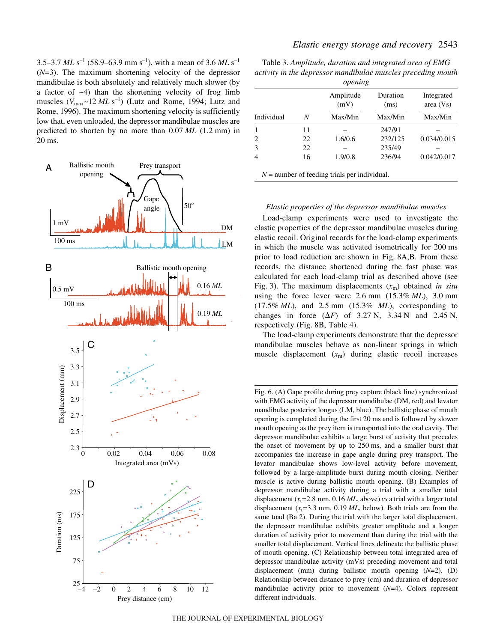3.5–3.7  $MLs^{-1}$  (58.9–63.9 mm s<sup>-1</sup>), with a mean of 3.6  $MLs^{-1}$ (*N*=3). The maximum shortening velocity of the depressor mandibulae is both absolutely and relatively much slower (by a factor of  $-4$ ) than the shortening velocity of frog limb muscles  $(V_{\text{max}} \sim 12 \, ML \, \text{s}^{-1})$  (Lutz and Rome, 1994; Lutz and Rome, 1996). The maximum shortening velocity is sufficiently low that, even unloaded, the depressor mandibulae muscles are predicted to shorten by no more than 0.07 *ML* (1.2 mm) in 20 ms.



Table 3. Amplitude, duration and integrated area of EMG *activity in the depressor mandibulae muscles preceding mouth*

|            |    | opening<br>Amplitude<br>(mV)                   | Duration<br>(ms) | Integrated<br>area (Vs) |
|------------|----|------------------------------------------------|------------------|-------------------------|
| Individual | N  | Max/Min                                        | Max/Min          | Max/Min                 |
|            | 11 |                                                | 247/91           |                         |
| 2          | 22 | 1.6/0.6                                        | 232/125          | 0.034/0.015             |
| 3          | 22 |                                                | 235/49           |                         |
| 4          | 16 | 1.9/0.8                                        | 236/94           | 0.042/0.017             |
|            |    | $N =$ number of feeding trials per individual. |                  |                         |

#### *Elastic properties of the depressor mandibulae muscles*

Load-clamp experiments were used to investigate the elastic properties of the depressor mandibulae muscles during elastic recoil. Original records for the load-clamp experiments in which the muscle was activated isometrically for 200 ms prior to load reduction are shown in Fig. 8A,B. From these records, the distance shortened during the fast phase was calculated for each load-clamp trial as described above (see Fig. 3). The maximum displacements  $(x<sub>m</sub>)$  obtained *in situ* using the force lever were  $2.6 \text{ mm}$   $(15.3\% \text{ ML})$ ,  $3.0 \text{ mm}$  $(17.5\% \; ML)$ , and  $2.5 \; mm$   $(15.3\% \; ML)$ , corresponding to changes in force  $(\Delta F)$  of 3.27 N, 3.34 N and 2.45 N, respectively (Fig. 8B, Table 4).

The load-clamp experiments demonstrate that the depressor mandibulae muscles behave as non-linear springs in which muscle displacement  $(x_m)$  during elastic recoil increases

Fig. 6. (A) Gape profile during prey capture (black line) synchronized with EMG activity of the depressor mandibulae (DM, red) and levator mandibulae posterior longus (LM, blue). The ballistic phase of mouth opening is completed during the first 20 ms and is followed by slower mouth opening as the prey item is transported into the oral cavity. The depressor mandibulae exhibits a large burst of activity that precedes the onset of movement by up to 250 ms, and a smaller burst that accompanies the increase in gape angle during prey transport. The levator mandibulae shows low-level activity before movement, followed by a large-amplitude burst during mouth closing. Neither muscle is active during ballistic mouth opening. (B) Examples of depressor mandibulae activity during a trial with a smaller total displacement  $(x_t=2.8~\text{mm}, 0.16~\text{ML},$  above) *vs* a trial with a larger total displacement  $(x_t=3.3 \text{ mm}, 0.19 \text{ ML}, \text{below})$ . Both trials are from the same toad (Ba 2). During the trial with the larger total displacement, the depressor mandibulae exhibits greater amplitude and a longer duration of activity prior to movement than during the trial with the smaller total displacement. Vertical lines delineate the ballistic phase of mouth opening. (C) Relationship between total integrated area of depressor mandibulae activity (mVs) preceding movement and total displacement (mm) during ballistic mouth opening (*N*=2). (D) Relationship between distance to prey (cm) and duration of depressor mandibulae activity prior to movement (*N*=4). Colors represent different individuals.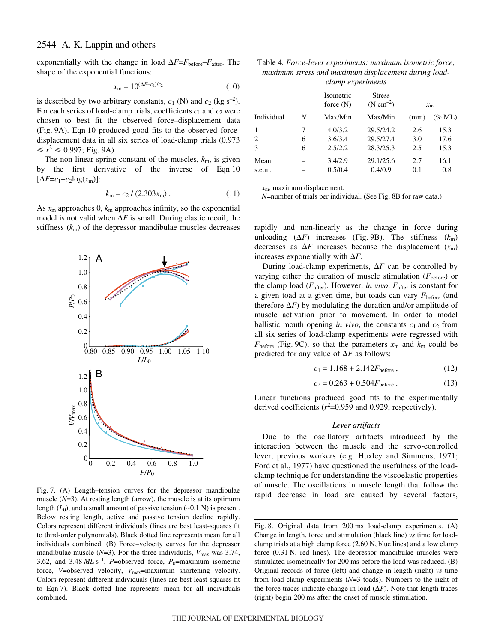exponentially with the change in load  $\Delta F = F_{before} - F_{after}$ . The shape of the exponential functions:

$$
x_{\rm m} = 10^{(\Delta F - c_1)/c_2} \tag{10}
$$

is described by two arbitrary constants,  $c_1$  (N) and  $c_2$  (kg s<sup>-2</sup>). For each series of load-clamp trials, coefficients  $c_1$  and  $c_2$  were chosen to best fit the observed force–displacement data (Fig. 9A). Eqn 10 produced good fits to the observed forcedisplacement data in all six series of load-clamp trials (0.973  $\le r^2 \le 0.997$ ; Fig. 9A).

The non-linear spring constant of the muscles,  $k<sub>m</sub>$ , is given by the first derivative of the inverse of Eqn·10  $[\Delta F = c_1 + c_2 \log(x_m)]$ 

$$
k_{\rm m} = c_2 / (2.303 x_{\rm m}) \,. \tag{11}
$$

As  $x_m$  approaches 0,  $k_m$  approaches infinity, so the exponential model is not valid when  $\Delta F$  is small. During elastic recoil, the stiffness (*k*m) of the depressor mandibulae muscles decreases rapidly and non-linearly as the change in force during



Fig. 7. (A) Length–tension curves for the depressor mandibulae muscle (*N*=3). At resting length (arrow), the muscle is at its optimum length  $(L_0)$ , and a small amount of passive tension  $(\sim 0.1 \text{ N})$  is present. Below resting length, active and passive tension decline rapidly. Colors represent different individuals (lines are best least-squares fit to third-order polynomials). Black dotted line represents mean for all individuals combined. (B) Force–velocity curves for the depressor mandibulae muscle  $(N=3)$ . For the three individuals,  $V_{\text{max}}$  was 3.74, 3.62, and 3.48  $MLs^{-1}$ . *P*=observed force, *P*<sub>0</sub>=maximum isometric force, *V*=observed velocity, *V*<sub>max</sub>=maximum shortening velocity. Colors represent different individuals (lines are best least-squares fit to Eqn 7). Black dotted line represents mean for all individuals combined.

Table 4. Force-lever experiments: maximum isometric force, *maximum stress and maximum displacement during loadclamp experiments*

|                                     |   | Isometric<br>force $(N)$ | <b>Stress</b><br>$(N cm^{-2})$ |      | $x_{\rm m}$ |
|-------------------------------------|---|--------------------------|--------------------------------|------|-------------|
| Individual                          | N | Max/Min                  | Max/Min                        | (mm) | $(\%$ ML)   |
| 1                                   | 7 | 4.0/3.2                  | 29.5/24.2                      | 2.6  | 15.3        |
| 2                                   | 6 | 3.6/3.4                  | 29.5/27.4                      | 3.0  | 17.6        |
| 3                                   | 6 | 2.5/2.2                  | 28.3/25.3                      | 2.5  | 15.3        |
| Mean                                |   | 3.4/2.9                  | 29.1/25.6                      | 2.7  | 16.1        |
| s.e.m.                              |   | 0.5/0.4                  | 0.4/0.9                        | 0.1  | 0.8         |
| $x_{\rm m}$ , maximum displacement. |   |                          |                                |      |             |

*N*=number of trials per individual. (See Fig. 8B for raw data.)

unloading  $(\Delta F)$  increases (Fig. 9B). The stiffness  $(k_m)$ decreases as  $\Delta F$  increases because the displacement  $(x_m)$ increases exponentially with  $\Delta F$ .

During load-clamp experiments,  $\Delta F$  can be controlled by varying either the duration of muscle stimulation  $(F_{before})$  or the clamp load  $(F<sub>after</sub>)$ . However, *in vivo*,  $F<sub>after</sub>$  is constant for a given toad at a given time, but toads can vary  $F_{\text{before}}$  (and therefore  $\Delta F$ ) by modulating the duration and/or amplitude of muscle activation prior to movement. In order to model ballistic mouth opening *in vivo*, the constants  $c_1$  and  $c_2$  from all six series of load-clamp experiments were regressed with  $F_{before}$  (Fig. 9C), so that the parameters  $x_m$  and  $k_m$  could be predicted for any value of  $\Delta F$  as follows:

$$
c_1 = 1.168 + 2.142F_{before}, \t(12)
$$

$$
c_2 = 0.263 + 0.504 F_{before} \,. \tag{13}
$$

Linear functions produced good fits to the experimentally derived coefficients  $(r^2=0.959$  and 0.929, respectively).

#### *Lever artifacts*

Due to the oscillatory artifacts introduced by the interaction between the muscle and the servo-controlled lever, previous workers (e.g. Huxley and Simmons, 1971; Ford et al., 1977) have questioned the usefulness of the loadclamp technique for understanding the viscoelastic properties of muscle. The oscillations in muscle length that follow the rapid decrease in load are caused by several factors,

Fig. 8. Original data from 200 ms load-clamp experiments. (A) Change in length, force and stimulation (black line) *vs* time for loadclamp trials at a high clamp force  $(2.60 \text{ N}, \text{blue lines})$  and a low clamp force (0.31 N, red lines). The depressor mandibulae muscles were stimulated isometrically for 200 ms before the load was reduced. (B) Original records of force (left) and change in length (right) *vs* time from load-clamp experiments (*N*=3 toads). Numbers to the right of the force traces indicate change in load  $(\Delta F)$ . Note that length traces (right) begin 200 ms after the onset of muscle stimulation.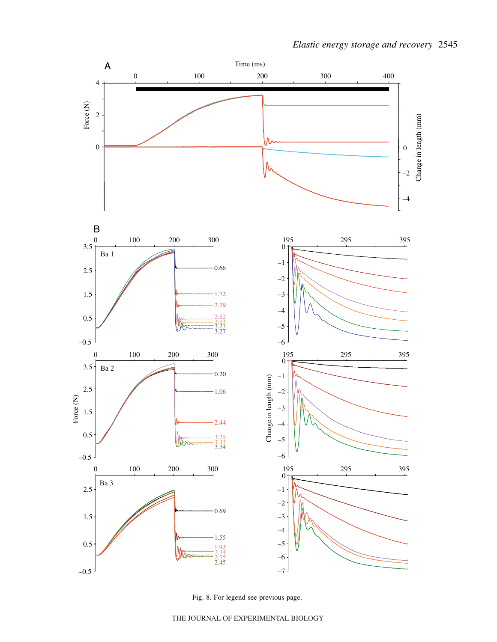

Fig. 8. For legend see previous page.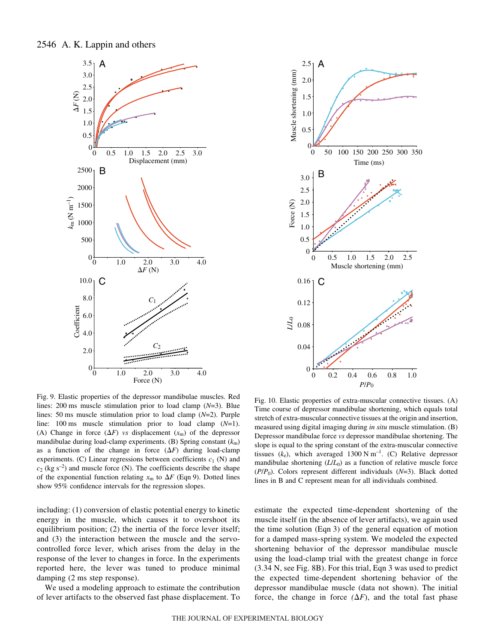



Fig. 9. Elastic properties of the depressor mandibulae muscles. Red lines: 200 ms muscle stimulation prior to load clamp  $(N=3)$ . Blue lines: 50 ms muscle stimulation prior to load clamp (*N*=2). Purple line: 100 ms muscle stimulation prior to load clamp  $(N=1)$ . (A) Change in force  $(\Delta F)$  *vs* displacement  $(x_m)$  of the depressor mandibulae during load-clamp experiments. (B) Spring constant (*k*m) as a function of the change in force  $(\Delta F)$  during load-clamp experiments. (C) Linear regressions between coefficients *c*<sup>1</sup> (N) and  $c_2$  (kg s<sup>-2</sup>) and muscle force (N). The coefficients describe the shape of the exponential function relating  $x_m$  to  $\Delta F$  (Eqn 9). Dotted lines show 95% confidence intervals for the regression slopes.

including: (1) conversion of elastic potential energy to kinetic energy in the muscle, which causes it to overshoot its equilibrium position; (2) the inertia of the force lever itself; and (3) the interaction between the muscle and the servocontrolled force lever, which arises from the delay in the response of the lever to changes in force. In the experiments reported here, the lever was tuned to produce minimal damping  $(2 \text{ ms step response}).$ 

We used a modeling approach to estimate the contribution of lever artifacts to the observed fast phase displacement. To

Fig.  $10$ . Elastic properties of extra-muscular connective tissues. (A) Time course of depressor mandibulae shortening, which equals total stretch of extra-muscular connective tissues at the origin and insertion, measured using digital imaging during *in situ* muscle stimulation. (B) Depressor mandibulae force *vs* depressor mandibulae shortening. The slope is equal to the spring constant of the extra-muscular connective tissues  $(k_e)$ , which averaged 1300 N m<sup>-1</sup>. (C) Relative depressor mandibulae shortening  $(L/L_0)$  as a function of relative muscle force (*P*/*P*0). Colors represent different individuals (*N*=3). Black dotted lines in B and C represent mean for all individuals combined.

estimate the expected time-dependent shortening of the muscle itself (in the absence of lever artifacts), we again used the time solution (Eqn·3) of the general equation of motion for a damped mass-spring system. We modeled the expected shortening behavior of the depressor mandibulae muscle using the load-clamp trial with the greatest change in force  $(3.34 \text{ N}, \text{see Fig. 8B})$ . For this trial, Eqn 3 was used to predict the expected time-dependent shortening behavior of the depressor mandibulae muscle (data not shown). The initial force, the change in force  $(\Delta F)$ , and the total fast phase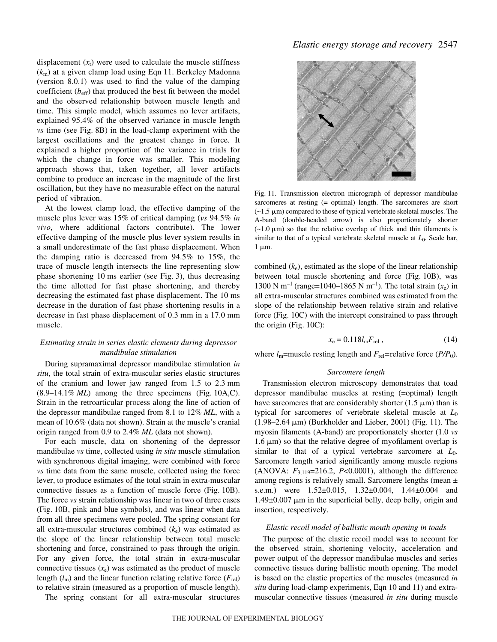displacement  $(x_t)$  were used to calculate the muscle stiffness (*k*m) at a given clamp load using Eqn·11. Berkeley Madonna (version 8.0.1) was used to find the value of the damping coefficient  $(b_{\text{eff}})$  that produced the best fit between the model and the observed relationship between muscle length and time. This simple model, which assumes no lever artifacts, explained 95.4% of the observed variance in muscle length *vs* time (see Fig. 8B) in the load-clamp experiment with the largest oscillations and the greatest change in force. It explained a higher proportion of the variance in trials for which the change in force was smaller. This modeling approach shows that, taken together, all lever artifacts combine to produce an increase in the magnitude of the first oscillation, but they have no measurable effect on the natural period of vibration.

At the lowest clamp load, the effective damping of the muscle plus lever was 15% of critical damping (*vs* 94.5% *in vivo*, where additional factors contribute). The lower effective damping of the muscle plus lever system results in a small underestimate of the fast phase displacement. When the damping ratio is decreased from 94.5% to 15%, the trace of muscle length intersects the line representing slow phase shortening 10 ms earlier (see Fig. 3), thus decreasing the time allotted for fast phase shortening, and thereby decreasing the estimated fast phase displacement. The 10 ms decrease in the duration of fast phase shortening results in a decrease in fast phase displacement of 0.3 mm in a 17.0 mm muscle.

### *Estimating strain in series elastic elements during depressor mandibulae stimulation*

During supramaximal depressor mandibulae stimulation *in situ*, the total strain of extra-muscular series elastic structures of the cranium and lower jaw ranged from  $1.5$  to  $2.3$  mm  $(8.9-14.1\%~ML)$  among the three specimens (Fig. 10A,C). Strain in the retroarticular process along the line of action of the depressor mandibulae ranged from 8.1 to 12% *ML*, with a mean of 10.6% (data not shown). Strain at the muscle's cranial origin ranged from 0.9 to 2.4% *ML* (data not shown).

For each muscle, data on shortening of the depressor mandibulae *vs* time, collected using *in situ* muscle stimulation with synchronous digital imaging, were combined with force *vs* time data from the same muscle, collected using the force lever, to produce estimates of the total strain in extra-muscular connective tissues as a function of muscle force (Fig. 10B). The force *vs* strain relationship was linear in two of three cases (Fig. 10B, pink and blue symbols), and was linear when data from all three specimens were pooled. The spring constant for all extra-muscular structures combined (*k*e) was estimated as the slope of the linear relationship between total muscle shortening and force, constrained to pass through the origin. For any given force, the total strain in extra-muscular connective tissues  $(x_e)$  was estimated as the product of muscle length  $(l_m)$  and the linear function relating relative force  $(F_{rel})$ to relative strain (measured as a proportion of muscle length).

The spring constant for all extra-muscular structures



Fig. 11. Transmission electron micrograph of depressor mandibulae sarcomeres at resting (= optimal) length. The sarcomeres are short  $(-1.5 \mu m)$  compared to those of typical vertebrate skeletal muscles. The A-band (double-headed arrow) is also proportionately shorter  $(-1.0 \mu m)$  so that the relative overlap of thick and thin filaments is similar to that of a typical vertebrate skeletal muscle at *L*0. Scale bar,  $1 \mu m$ .

combined  $(k_e)$ , estimated as the slope of the linear relationship between total muscle shortening and force (Fig. 10B), was 1300 N m<sup>-1</sup> (range=1040–1865 N m<sup>-1</sup>). The total strain  $(x_e)$  in all extra-muscular structures combined was estimated from the slope of the relationship between relative strain and relative force (Fig. 10C) with the intercept constrained to pass through the origin (Fig.  $10C$ ):

$$
x_{\rm e} = 0.118 l_{\rm m} F_{\rm rel} \,, \tag{14}
$$

where  $l_m$ =muscle resting length and  $F_{rel}$ =relative force ( $P/P_0$ ).

#### *Sarcomere length*

Transmission electron microscopy demonstrates that toad depressor mandibulae muscles at resting (=optimal) length have sarcomeres that are considerably shorter (1.5  $\mu$ m) than is typical for sarcomeres of vertebrate skeletal muscle at *L*<sup>0</sup>  $(1.98-2.64 \,\mu\text{m})$  (Burkholder and Lieber, 2001) (Fig. 11). The myosin filaments (A-band) are proportionately shorter (1.0 *vs*  $1.6 \mu m$ ) so that the relative degree of myofilament overlap is similar to that of a typical vertebrate sarcomere at *L*0. Sarcomere length varied significantly among muscle regions (ANOVA:  $F_{3,119}$ =216.2, *P*<0.0001), although the difference among regions is relatively small. Sarcomere lengths (mean  $\pm$ s.e.m.) were 1.52±0.015, 1.32±0.004, 1.44±0.004 and  $1.49\pm0.007$  µm in the superficial belly, deep belly, origin and insertion, respectively.

#### *Elastic recoil model of ballistic mouth opening in toads*

The purpose of the elastic recoil model was to account for the observed strain, shortening velocity, acceleration and power output of the depressor mandibulae muscles and series connective tissues during ballistic mouth opening. The model is based on the elastic properties of the muscles (measured *in situ* during load-clamp experiments, Eqn 10 and 11) and extramuscular connective tissues (measured *in situ* during muscle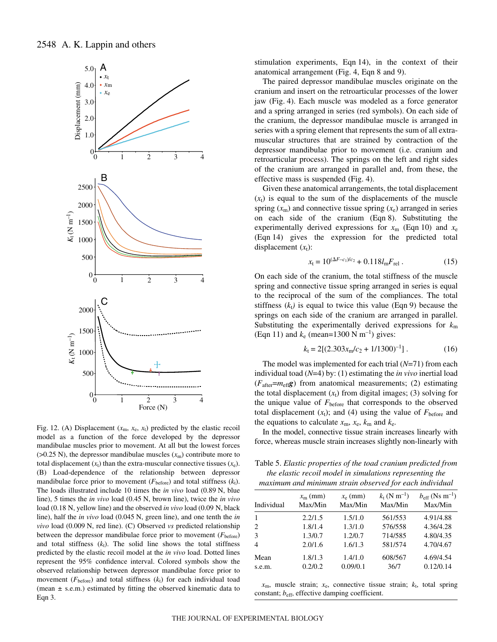

Fig. 12. (A) Displacement  $(x_m, x_e, x_t)$  predicted by the elastic recoil model as a function of the force developed by the depressor mandibulae muscles prior to movement. At all but the lowest forces ( $>0.25$  N), the depressor mandibulae muscles ( $x<sub>m</sub>$ ) contribute more to total displacement  $(x_t)$  than the extra-muscular connective tissues  $(x_e)$ . (B) Load-dependence of the relationship between depressor mandibulae force prior to movement ( $F_{before}$ ) and total stiffness ( $k_t$ ). The loads illustrated include 10 times the *in vivo* load (0.89 N, blue line), 5 times the *in vivo* load (0.45 N, brown line), twice the *in vivo* load (0.18 N, yellow line) and the observed *in vivo* load (0.09 N, black line), half the *in vivo* load (0.045 N, green line), and one tenth the *in vivo* load (0.009 N, red line). (C) Observed *vs* predicted relationship between the depressor mandibulae force prior to movement  $(F_{before})$ and total stiffness  $(k_t)$ . The solid line shows the total stiffness predicted by the elastic recoil model at the *in vivo* load. Dotted lines represent the 95% confidence interval. Colored symbols show the observed relationship between depressor mandibulae force prior to movement ( $F_{before}$ ) and total stiffness ( $k_t$ ) for each individual toad (mean *±* s.e.m.) estimated by fitting the observed kinematic data to Eqn 3.

stimulation experiments, Eqn 14), in the context of their anatomical arrangement (Fig. 4, Eqn 8 and 9).

The paired depressor mandibulae muscles originate on the cranium and insert on the retroarticular processes of the lower jaw (Fig. 4). Each muscle was modeled as a force generator and a spring arranged in series (red symbols). On each side of the cranium, the depressor mandibulae muscle is arranged in series with a spring element that represents the sum of all extramuscular structures that are strained by contraction of the depressor mandibulae prior to movement (i.e. cranium and retroarticular process). The springs on the left and right sides of the cranium are arranged in parallel and, from these, the effective mass is suspended (Fig. 4).

Given these anatomical arrangements, the total displacement  $(x<sub>t</sub>)$  is equal to the sum of the displacements of the muscle spring  $(x<sub>m</sub>)$  and connective tissue spring  $(x<sub>e</sub>)$  arranged in series on each side of the cranium (Eqn 8). Substituting the experimentally derived expressions for  $x_m$  (Eqn 10) and  $x_e$ (Eqn 14) gives the expression for the predicted total displacement  $(x_t)$ :

$$
x_{t} = 10^{(\Delta F - c_{1})/c_{2}} + 0.118 l_{m} F_{rel} . \qquad (15)
$$

On each side of the cranium, the total stiffness of the muscle spring and connective tissue spring arranged in series is equal to the reciprocal of the sum of the compliances. The total stiffness  $(k_t)$  is equal to twice this value (Eqn 9) because the springs on each side of the cranium are arranged in parallel. Substituting the experimentally derived expressions for *k*<sup>m</sup> (Eqn 11) and  $k_e$  (mean=1300 N m<sup>-1</sup>) gives:

$$
k_{\rm t} = 2[(2.303x_{\rm m}/c_2 + 1/1300)^{-1}].\tag{16}
$$

The model was implemented for each trial (*N*=71) from each individual toad (*N*=4) by: (1) estimating the *in vivo* inertial load  $(F_{after} = m_{eff}g)$  from anatomical measurements; (2) estimating the total displacement  $(x_t)$  from digital images; (3) solving for the unique value of *F*before that corresponds to the observed total displacement  $(x_t)$ ; and (4) using the value of  $F_{before}$  and the equations to calculate  $x_m$ ,  $x_e$ ,  $k_m$  and  $k_e$ .

In the model, connective tissue strain increases linearly with force, whereas muscle strain increases slightly non-linearly with

Table·5. *Elastic properties of the toad cranium predicted from the elastic recoil model in simulations representing the maximum and minimum strain observed for each individual*

| Individual                  | $x_{\rm m}$ (mm)<br>Max/Min | $x_e$ (mm)<br>Max/Min | $k_{\rm t}$ (N m <sup>-1</sup> )<br>Max/Min | $b_{\rm eff}$ (Ns m <sup>-1</sup> )<br>Max/Min |
|-----------------------------|-----------------------------|-----------------------|---------------------------------------------|------------------------------------------------|
|                             | 2.2/1.5                     | 1.5/1.0               | 561/553                                     | 4.91/4.88                                      |
| $\mathcal{D}_{\mathcal{L}}$ | 1.8/1.4                     | 1.3/1.0               | 576/558                                     | 4.36/4.28                                      |
| 3                           | 1.3/0.7                     | 1.2/0.7               | 714/585                                     | 4.80/4.35                                      |
| 4                           | 2.0/1.6                     | 1.6/1.3               | 581/574                                     | 4.70/4.67                                      |
| Mean                        | 1.8/1.3                     | 1.4/1.0               | 608/567                                     | 4.69/4.54                                      |
| s.e.m.                      | 0.2/0.2                     | 0.09/0.1              | 36/7                                        | 0.12/0.14                                      |

 $x_m$ , muscle strain;  $x_e$ , connective tissue strain;  $k_t$ , total spring constant;  $b_{\text{eff}}$ , effective damping coefficient.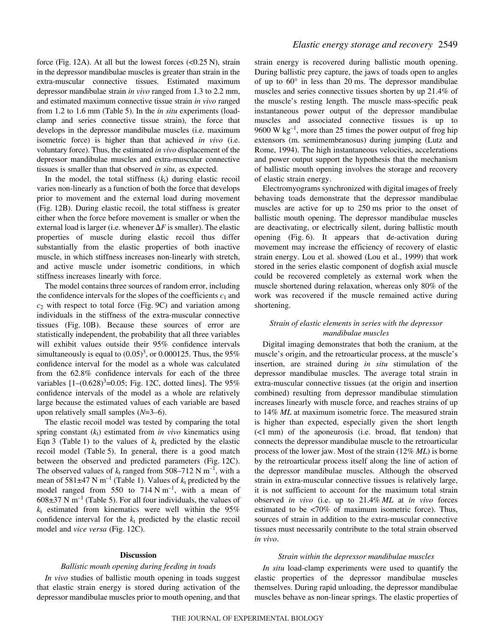force (Fig. 12A). At all but the lowest forces  $( $0.25 \text{ N}$ ), strain)$ in the depressor mandibulae muscles is greater than strain in the extra-muscular connective tissues. Estimated maximum depressor mandibulae strain *in vivo* ranged from 1.3 to 2.2 mm, and estimated maximum connective tissue strain *in vivo* ranged from 1.2 to 1.6 mm (Table 5). In the *in situ* experiments (loadclamp and series connective tissue strain), the force that develops in the depressor mandibulae muscles (i.e. maximum isometric force) is higher than that achieved *in vivo* (i.e. voluntary force). Thus, the estimated *in vivo* displacement of the depressor mandibulae muscles and extra-muscular connective tissues is smaller than that observed *in situ*, as expected.

In the model, the total stiffness  $(k<sub>t</sub>)$  during elastic recoil varies non-linearly as a function of both the force that develops prior to movement and the external load during movement (Fig. 12B). During elastic recoil, the total stiffness is greater either when the force before movement is smaller or when the external load is larger (i.e. whenever  $\Delta F$  is smaller). The elastic properties of muscle during elastic recoil thus differ substantially from the elastic properties of both inactive muscle, in which stiffness increases non-linearly with stretch, and active muscle under isometric conditions, in which stiffness increases linearly with force.

The model contains three sources of random error, including the confidence intervals for the slopes of the coefficients  $c_1$  and  $c_2$  with respect to total force (Fig. 9C) and variation among individuals in the stiffness of the extra-muscular connective tissues (Fig. 10B). Because these sources of error are statistically independent, the probability that all three variables will exhibit values outside their 95% confidence intervals simultaneously is equal to  $(0.05)^3$ , or  $0.000125$ . Thus, the 95% confidence interval for the model as a whole was calculated from the 62.8% confidence intervals for each of the three variables  $[1-(0.628)^{3} = 0.05$ ; Fig. 12C, dotted lines]. The 95% confidence intervals of the model as a whole are relatively large because the estimated values of each variable are based upon relatively small samples (*N*=3–6).

The elastic recoil model was tested by comparing the total spring constant  $(k_t)$  estimated from *in vivo* kinematics using Eqn 3 (Table 1) to the values of  $k_t$  predicted by the elastic recoil model (Table 5). In general, there is a good match between the observed and predicted parameters (Fig. 12C). The observed values of  $k_t$  ranged from 508–712 N m<sup>-1</sup>, with a mean of 581 $\pm$ 47 N m<sup>-1</sup> (Table 1). Values of  $k_t$  predicted by the model ranged from 550 to 714  $N \text{ m}^{-1}$ , with a mean of  $608\pm37$  N m<sup>-1</sup> (Table 5). For all four individuals, the values of  $k_t$  estimated from kinematics were well within the  $95\%$ confidence interval for the  $k_t$  predicted by the elastic recoil model and *vice versa* (Fig. 12C).

#### **Discussion**

#### *Ballistic mouth opening during feeding in toads*

*In vivo* studies of ballistic mouth opening in toads suggest that elastic strain energy is stored during activation of the depressor mandibulae muscles prior to mouth opening, and that

strain energy is recovered during ballistic mouth opening. During ballistic prey capture, the jaws of toads open to angles of up to  $60^{\circ}$  in less than 20 ms. The depressor mandibulae muscles and series connective tissues shorten by up 21.4% of the muscle's resting length. The muscle mass-specific peak instantaneous power output of the depressor mandibulae muscles and associated connective tissues is up to 9600 W  $kg^{-1}$ , more than 25 times the power output of frog hip extensors (m. semimembranosus) during jumping (Lutz and Rome, 1994). The high instantaneous velocities, accelerations and power output support the hypothesis that the mechanism of ballistic mouth opening involves the storage and recovery of elastic strain energy.

Electromyograms synchronized with digital images of freely behaving toads demonstrate that the depressor mandibulae muscles are active for up to 250 ms prior to the onset of ballistic mouth opening. The depressor mandibulae muscles are deactivating, or electrically silent, during ballistic mouth opening  $(Fig. 6)$ . It appears that de-activation during movement may increase the efficiency of recovery of elastic strain energy. Lou et al. showed (Lou et al., 1999) that work stored in the series elastic component of dogfish axial muscle could be recovered completely as external work when the muscle shortened during relaxation, whereas only 80% of the work was recovered if the muscle remained active during shortening.

### *Strain of elastic elements in series with the depressor mandibulae muscles*

Digital imaging demonstrates that both the cranium, at the muscle's origin, and the retroarticular process, at the muscle's insertion, are strained during *in situ* stimulation of the depressor mandibulae muscles. The average total strain in extra-muscular connective tissues (at the origin and insertion combined) resulting from depressor mandibulae stimulation increases linearly with muscle force, and reaches strains of up to 14% *ML* at maximum isometric force. The measured strain is higher than expected, especially given the short length  $(\leq 1$  mm) of the aponeurosis (i.e. broad, flat tendon) that connects the depressor mandibulae muscle to the retroarticular process of the lower jaw. Most of the strain (12% *ML*) is borne by the retroarticular process itself along the line of action of the depressor mandibulae muscles. Although the observed strain in extra-muscular connective tissues is relatively large, it is not sufficient to account for the maximum total strain observed *in vivo* (i.e. up to 21.4% *ML* at *in vivo* forces estimated to be <70% of maximum isometric force). Thus, sources of strain in addition to the extra-muscular connective tissues must necessarily contribute to the total strain observed *in vivo*.

### *Strain within the depressor mandibulae muscles*

*In situ* load-clamp experiments were used to quantify the elastic properties of the depressor mandibulae muscles themselves. During rapid unloading, the depressor mandibulae muscles behave as non-linear springs. The elastic properties of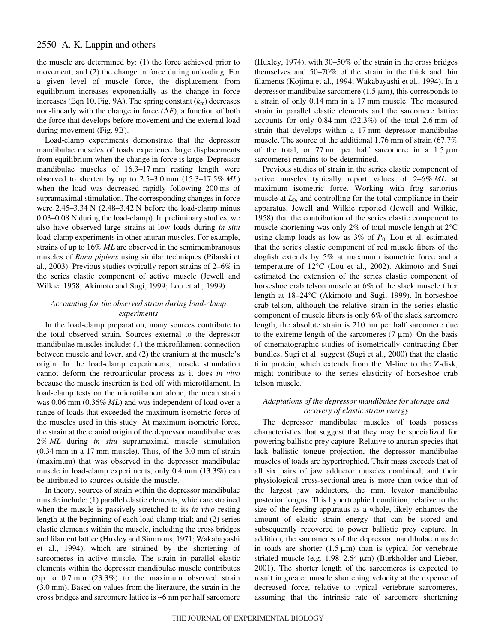the muscle are determined by: (1) the force achieved prior to movement, and (2) the change in force during unloading. For a given level of muscle force, the displacement from equilibrium increases exponentially as the change in force increases (Eqn 10, Fig. 9A). The spring constant  $(k<sub>m</sub>)$  decreases non-linearly with the change in force  $(\Delta F)$ , a function of both the force that develops before movement and the external load during movement (Fig. 9B).

Load-clamp experiments demonstrate that the depressor mandibulae muscles of toads experience large displacements from equilibrium when the change in force is large. Depressor mandibulae muscles of 16.3–17 mm resting length were observed to shorten by up to  $2.5-3.0$  mm  $(15.3-17.5\%$  *ML*) when the load was decreased rapidly following 200 ms of supramaximal stimulation. The corresponding changes in force were  $2.45-3.34$  N  $(2.48-3.42$  N before the load-clamp minus 0.03–0.08 N during the load-clamp). In preliminary studies, we also have observed large strains at low loads during *in situ* load-clamp experiments in other anuran muscles. For example, strains of up to 16% *ML* are observed in the semimembranosus muscles of *Rana pipiens* using similar techniques (Pilarski et al., 2003). Previous studies typically report strains of 2–6% in the series elastic component of active muscle (Jewell and Wilkie, 1958; Akimoto and Sugi, 1999; Lou et al., 1999).

# *Accounting for the observed strain during load-clamp experiments*

In the load-clamp preparation, many sources contribute to the total observed strain. Sources external to the depressor mandibulae muscles include: (1) the microfilament connection between muscle and lever, and (2) the cranium at the muscle's origin. In the load-clamp experiments, muscle stimulation cannot deform the retroarticular process as it does *in vivo* because the muscle insertion is tied off with microfilament. In load-clamp tests on the microfilament alone, the mean strain was 0.06 mm (0.36% *ML*) and was independent of load over a range of loads that exceeded the maximum isometric force of the muscles used in this study. At maximum isometric force, the strain at the cranial origin of the depressor mandibulae was 2%·*ML* during *in situ* supramaximal muscle stimulation  $(0.34 \text{ mm in a } 17 \text{ mm muscle})$ . Thus, of the 3.0 mm of strain (maximum) that was observed in the depressor mandibulae muscle in load-clamp experiments, only  $0.4 \text{ mm } (13.3\%)$  can be attributed to sources outside the muscle.

In theory, sources of strain within the depressor mandibulae muscle include: (1) parallel elastic elements, which are strained when the muscle is passively stretched to its *in vivo* resting length at the beginning of each load-clamp trial; and (2) series elastic elements within the muscle, including the cross bridges and filament lattice (Huxley and Simmons, 1971; Wakabayashi et al., 1994), which are strained by the shortening of sarcomeres in active muscle. The strain in parallel elastic elements within the depressor mandibulae muscle contributes up to  $0.7$  mm  $(23.3%)$  to the maximum observed strain  $(3.0~mm)$ . Based on values from the literature, the strain in the cross bridges and sarcomere lattice is  $~6$  nm per half sarcomere (Huxley, 1974), with 30–50% of the strain in the cross bridges themselves and 50–70% of the strain in the thick and thin filaments (Kojima et al., 1994; Wakabayashi et al., 1994). In a depressor mandibulae sarcomere  $(1.5 \mu m)$ , this corresponds to a strain of only 0.14 mm in a 17 mm muscle. The measured strain in parallel elastic elements and the sarcomere lattice accounts for only  $0.84$  mm  $(32.3%)$  of the total 2.6 mm of strain that develops within a 17 mm depressor mandibulae muscle. The source of the additional 1.76 mm of strain  $(67.7\%$ of the total, or 77 nm per half sarcomere in a  $1.5 \mu m$ sarcomere) remains to be determined.

Previous studies of strain in the series elastic component of active muscles typically report values of 2–6% *ML* at maximum isometric force. Working with frog sartorius muscle at  $L_0$ , and controlling for the total compliance in their apparatus, Jewell and Wilkie reported (Jewell and Wilkie, 1958) that the contribution of the series elastic component to muscle shortening was only 2% of total muscle length at 2°C using clamp loads as low as  $3\%$  of  $P_0$ . Lou et al. estimated that the series elastic component of red muscle fibers of the dogfish extends by 5% at maximum isometric force and a temperature of 12°C (Lou et al., 2002). Akimoto and Sugi estimated the extension of the series elastic component of horseshoe crab telson muscle at 6% of the slack muscle fiber length at 18–24°C (Akimoto and Sugi, 1999). In horseshoe crab telson, although the relative strain in the series elastic component of muscle fibers is only 6% of the slack sarcomere length, the absolute strain is 210 nm per half sarcomere due to the extreme length of the sarcomeres  $(7 \mu m)$ . On the basis of cinematographic studies of isometrically contracting fiber bundles, Sugi et al. suggest (Sugi et al., 2000) that the elastic titin protein, which extends from the M-line to the Z-disk, might contribute to the series elasticity of horseshoe crab telson muscle.

### *Adaptations of the depressor mandibulae for storage and recovery of elastic strain energy*

The depressor mandibulae muscles of toads possess characteristics that suggest that they may be specialized for powering ballistic prey capture. Relative to anuran species that lack ballistic tongue projection, the depressor mandibulae muscles of toads are hypertrophied. Their mass exceeds that of all six pairs of jaw adductor muscles combined, and their physiological cross-sectional area is more than twice that of the largest jaw adductors, the mm. levator mandibulae posterior longus. This hypertrophied condition, relative to the size of the feeding apparatus as a whole, likely enhances the amount of elastic strain energy that can be stored and subsequently recovered to power ballistic prey capture. In addition, the sarcomeres of the depressor mandibulae muscle in toads are shorter  $(1.5 \mu m)$  than is typical for vertebrate striated muscle (e.g.  $1.98-2.64 \mu m$ ) (Burkholder and Lieber, 2001). The shorter length of the sarcomeres is expected to result in greater muscle shortening velocity at the expense of decreased force, relative to typical vertebrate sarcomeres, assuming that the intrinsic rate of sarcomere shortening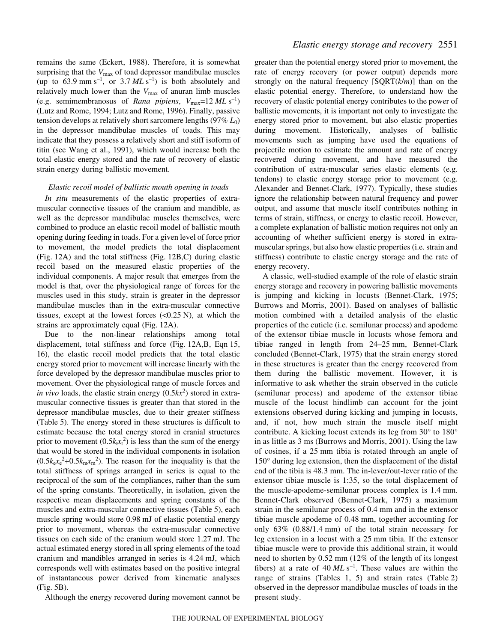remains the same (Eckert, 1988). Therefore, it is somewhat surprising that the  $V_{\text{max}}$  of toad depressor mandibulae muscles (up to 63.9 mm s<sup>-1</sup>, or 3.7  $MLs^{-1}$ ) is both absolutely and relatively much lower than the  $V_{\text{max}}$  of anuran limb muscles (e.g. semimembranosus of *Rana pipiens*,  $V_{\text{max}}=12 \, \text{ML s}^{-1}$ ) (Lutz and Rome, 1994; Lutz and Rome, 1996). Finally, passive tension develops at relatively short sarcomere lengths (97%·*L*0) in the depressor mandibulae muscles of toads. This may indicate that they possess a relatively short and stiff isoform of titin (see Wang et al., 1991), which would increase both the total elastic energy stored and the rate of recovery of elastic strain energy during ballistic movement.

### *Elastic recoil model of ballistic mouth opening in toads*

*In situ* measurements of the elastic properties of extramuscular connective tissues of the cranium and mandible, as well as the depressor mandibulae muscles themselves, were combined to produce an elastic recoil model of ballistic mouth opening during feeding in toads. For a given level of force prior to movement, the model predicts the total displacement  $(Fig. 12A)$  and the total stiffness  $(Fig. 12B, C)$  during elastic recoil based on the measured elastic properties of the individual components. A major result that emerges from the model is that, over the physiological range of forces for the muscles used in this study, strain is greater in the depressor mandibulae muscles than in the extra-muscular connective tissues, except at the lowest forces  $( $0.25 \text{ N}$ ), at which the$ strains are approximately equal (Fig. 12A).

Due to the non-linear relationships among total displacement, total stiffness and force (Fig. 12A,B, Eqn 15, 16), the elastic recoil model predicts that the total elastic energy stored prior to movement will increase linearly with the force developed by the depressor mandibulae muscles prior to movement. Over the physiological range of muscle forces and *in vivo* loads, the elastic strain energy  $(0.5kx^2)$  stored in extramuscular connective tissues is greater than that stored in the depressor mandibulae muscles, due to their greater stiffness (Table 5). The energy stored in these structures is difficult to estimate because the total energy stored in cranial structures prior to movement  $(0.5k<sub>t</sub>x<sub>t</sub><sup>2</sup>)$  is less than the sum of the energy that would be stored in the individual components in isolation  $(0.5k_{e}x_{e}^{2}+0.5k_{m}x_{m}^{2})$ . The reason for the inequality is that the total stiffness of springs arranged in series is equal to the reciprocal of the sum of the compliances, rather than the sum of the spring constants. Theoretically, in isolation, given the respective mean displacements and spring constants of the muscles and extra-muscular connective tissues (Table 5), each muscle spring would store 0.98 mJ of elastic potential energy prior to movement, whereas the extra-muscular connective tissues on each side of the cranium would store 1.27 mJ. The actual estimated energy stored in all spring elements of the toad cranium and mandibles arranged in series is 4.24 mJ, which corresponds well with estimates based on the positive integral of instantaneous power derived from kinematic analyses  $(Fig. 5B)$ .

Although the energy recovered during movement cannot be

greater than the potential energy stored prior to movement, the rate of energy recovery (or power output) depends more strongly on the natural frequency [SQRT(*k*/*m*)] than on the elastic potential energy. Therefore, to understand how the recovery of elastic potential energy contributes to the power of ballistic movements, it is important not only to investigate the energy stored prior to movement, but also elastic properties during movement. Historically, analyses of ballistic movements such as jumping have used the equations of projectile motion to estimate the amount and rate of energy recovered during movement, and have measured the contribution of extra-muscular series elastic elements (e.g. tendons) to elastic energy storage prior to movement (e.g. Alexander and Bennet-Clark, 1977). Typically, these studies ignore the relationship between natural frequency and power output, and assume that muscle itself contributes nothing in terms of strain, stiffness, or energy to elastic recoil. However, a complete explanation of ballistic motion requires not only an accounting of whether sufficient energy is stored in extramuscular springs, but also how elastic properties (i.e. strain and stiffness) contribute to elastic energy storage and the rate of energy recovery.

A classic, well-studied example of the role of elastic strain energy storage and recovery in powering ballistic movements is jumping and kicking in locusts (Bennet-Clark, 1975; Burrows and Morris, 2001). Based on analyses of ballistic motion combined with a detailed analysis of the elastic properties of the cuticle (i.e. semilunar process) and apodeme of the extensor tibiae muscle in locusts whose femora and tibiae ranged in length from  $24-25$  mm, Bennet-Clark concluded (Bennet-Clark, 1975) that the strain energy stored in these structures is greater than the energy recovered from them during the ballistic movement. However, it is informative to ask whether the strain observed in the cuticle (semilunar process) and apodeme of the extensor tibiae muscle of the locust hindlimb can account for the joint extensions observed during kicking and jumping in locusts, and, if not, how much strain the muscle itself might contribute. A kicking locust extends its leg from 30° to 180° in as little as 3 ms (Burrows and Morris, 2001). Using the law of cosines, if a 25 mm tibia is rotated through an angle of 150° during leg extension, then the displacement of the distal end of the tibia is 48.3 mm. The in-lever/out-lever ratio of the extensor tibiae muscle is 1:35, so the total displacement of the muscle-apodeme-semilunar process complex is 1.4 mm. Bennet-Clark observed (Bennet-Clark, 1975) a maximum strain in the semilunar process of 0.4 mm and in the extensor tibiae muscle apodeme of 0.48 mm, together accounting for only  $63\%$   $(0.88/1.4 \text{ mm})$  of the total strain necessary for leg extension in a locust with a 25 mm tibia. If the extensor tibiae muscle were to provide this additional strain, it would need to shorten by  $0.52 \text{ mm}$  (12% of the length of its longest fibers) at a rate of  $40 \, ML \, s^{-1}$ . These values are within the range of strains (Tables 1, 5) and strain rates (Table 2) observed in the depressor mandibulae muscles of toads in the present study.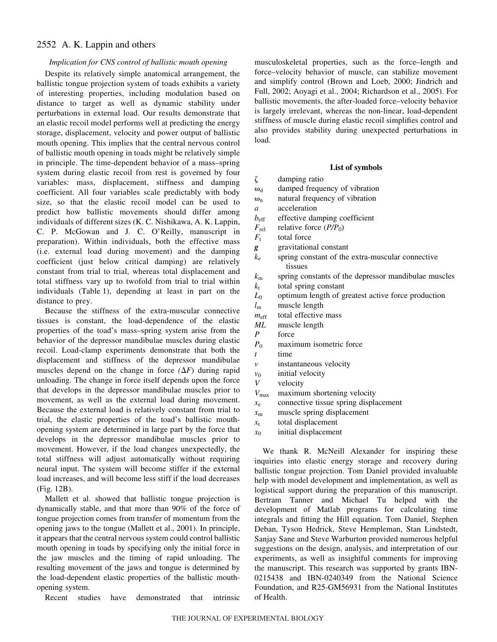# *Implication for CNS control of ballistic mouth opening*

Despite its relatively simple anatomical arrangement, the ballistic tongue projection system of toads exhibits a variety of interesting properties, including modulation based on distance to target as well as dynamic stability under perturbations in external load. Our results demonstrate that an elastic recoil model performs well at predicting the energy storage, displacement, velocity and power output of ballistic mouth opening. This implies that the central nervous control of ballistic mouth opening in toads might be relatively simple in principle. The time-dependent behavior of a mass–spring system during elastic recoil from rest is governed by four variables: mass, displacement, stiffness and damping coefficient. All four variables scale predictably with body size, so that the elastic recoil model can be used to predict how ballistic movements should differ among individuals of different sizes (K. C. Nishikawa, A. K. Lappin, C. P. McGowan and J. C. O'Reilly, manuscript in preparation). Within individuals, both the effective mass (i.e. external load during movement) and the damping coefficient (just below critical damping) are relatively constant from trial to trial, whereas total displacement and total stiffness vary up to twofold from trial to trial within individuals (Table 1), depending at least in part on the distance to prey.

Because the stiffness of the extra-muscular connective tissues is constant, the load-dependence of the elastic properties of the toad's mass–spring system arise from the behavior of the depressor mandibulae muscles during elastic recoil. Load-clamp experiments demonstrate that both the displacement and stiffness of the depressor mandibulae muscles depend on the change in force  $(\Delta F)$  during rapid unloading. The change in force itself depends upon the force that develops in the depressor mandibulae muscles prior to movement, as well as the external load during movement. Because the external load is relatively constant from trial to trial, the elastic properties of the toad's ballistic mouthopening system are determined in large part by the force that develops in the depressor mandibulae muscles prior to movement. However, if the load changes unexpectedly, the total stiffness will adjust automatically without requiring neural input. The system will become stiffer if the external load increases, and will become less stiff if the load decreases  $(Fig. 12B)$ .

Mallett et al. showed that ballistic tongue projection is dynamically stable, and that more than 90% of the force of tongue projection comes from transfer of momentum from the opening jaws to the tongue (Mallett et al., 2001). In principle, it appears that the central nervous system could control ballistic mouth opening in toads by specifying only the initial force in the jaw muscles and the timing of rapid unloading. The resulting movement of the jaws and tongue is determined by the load-dependent elastic properties of the ballistic mouthopening system.

Recent studies have demonstrated that intrinsic

musculoskeletal properties, such as the force–length and force–velocity behavior of muscle, can stabilize movement and simplify control (Brown and Loeb, 2000; Jindrich and Full, 2002; Aoyagi et al., 2004; Richardson et al., 2005). For ballistic movements, the after-loaded force–velocity behavior is largely irrelevant, whereas the non-linear, load-dependent stiffness of muscle during elastic recoil simplifies control and also provides stability during unexpected perturbations in load.

### **List of symbols**

| ζ                | damping ratio                                        |
|------------------|------------------------------------------------------|
| $\omega_d$       | damped frequency of vibration                        |
| $\omega_{n}$     | natural frequency of vibration                       |
| $\overline{a}$   | acceleration                                         |
| $b_{\text{eff}}$ | effective damping coefficient                        |
| $F_{\rm rel}$    | relative force $(P/P_0)$                             |
| $F_{t}$          | total force                                          |
| g                | gravitational constant                               |
| $k_{\rm e}$      | spring constant of the extra-muscular connective     |
|                  | tissues                                              |
| $k_{\rm m}$      | spring constants of the depressor mandibulae muscles |
| $k_{\rm t}$      | total spring constant                                |
| $L_0$            | optimum length of greatest active force production   |
| $l_{\rm m}$      | muscle length                                        |
| $m_{\rm eff}$    | total effective mass                                 |
| МL               | muscle length                                        |
| $\boldsymbol{P}$ | force                                                |
| $P_0$            | maximum isometric force                              |
| $\boldsymbol{t}$ | time                                                 |
| $\mathcal{V}$    | instantaneous velocity                               |
| $v_0$            | initial velocity                                     |
| V                | velocity                                             |
| $V_{\rm max}$    | maximum shortening velocity                          |
| $x_{e}$          | connective tissue spring displacement                |
| $x_{\rm m}$      | muscle spring displacement                           |
| $x_{t}$          | total displacement                                   |
| $x_0$            | initial displacement                                 |
|                  |                                                      |

We thank R. McNeill Alexander for inspiring these inquiries into elastic energy storage and recovery during ballistic tongue projection. Tom Daniel provided invaluable help with model development and implementation, as well as logistical support during the preparation of this manuscript. Bertram Tanner and Michael Tu helped with the development of Matlab programs for calculating time integrals and fitting the Hill equation. Tom Daniel, Stephen Deban, Tyson Hedrick, Steve Hempleman, Stan Lindstedt, Sanjay Sane and Steve Warburton provided numerous helpful suggestions on the design, analysis, and interpretation of our experiments, as well as insightful comments for improving the manuscript. This research was supported by grants IBN-0215438 and IBN-0240349 from the National Science Foundation, and R25-GM56931 from the National Institutes of Health.